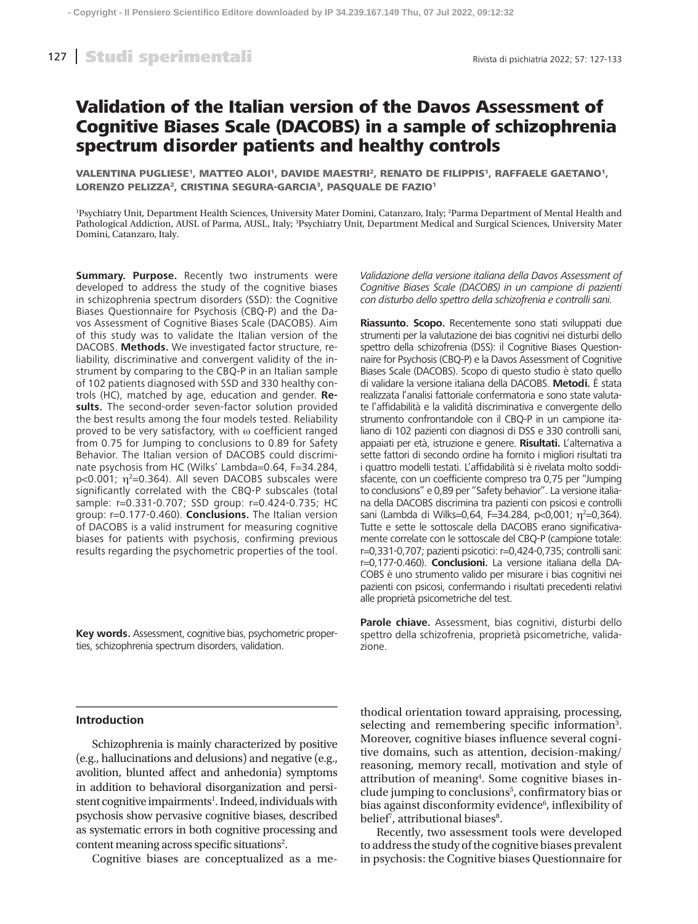# Validation of the Italian version of the Davos Assessment of Cognitive Biases Scale (DACOBS) in a sample of schizophrenia spectrum disorder patients and healthy controls

VALENTINA PUGLIESE<sup>1</sup>, MATTEO ALOI<sup>1</sup>, DAVIDE MAESTRI<sup>2</sup>, RENATO DE FILIPPIS<sup>1</sup>, RAFFAELE GAETANO<sup>1</sup>, LORENZO PELIZZA<sup>2</sup>, CRISTINA SEGURA-GARCIA<sup>3</sup>, PASQUALE DE FAZIO<sup>1</sup>

1 Psychiatry Unit, Department Health Sciences, University Mater Domini, Catanzaro, Italy; 2 Parma Department of Mental Health and Pathological Addiction, AUSL of Parma, AUSL, Italy; 3 Psychiatry Unit, Department Medical and Surgical Sciences, University Mater Domini, Catanzaro, Italy.

**Summary. Purpose.** Recently two instruments were developed to address the study of the cognitive biases in schizophrenia spectrum disorders (SSD): the Cognitive Biases Questionnaire for Psychosis (CBQ-P) and the Davos Assessment of Cognitive Biases Scale (DACOBS). Aim of this study was to validate the Italian version of the DACOBS. **Methods.** We investigated factor structure, reliability, discriminative and convergent validity of the instrument by comparing to the CBQ-P in an Italian sample of 102 patients diagnosed with SSD and 330 healthy controls (HC), matched by age, education and gender. **Results.** The second-order seven-factor solution provided the best results among the four models tested. Reliability proved to be very satisfactory, with ω coefficient ranged from 0.75 for Jumping to conclusions to 0.89 for Safety Behavior. The Italian version of DACOBS could discriminate psychosis from HC (Wilks' Lambda=0.64, F=34.284, p<0.001;  $\eta^2$ =0.364). All seven DACOBS subscales were significantly correlated with the CBQ-P subscales (total sample: r=0.331-0.707; SSD group: r=0.424-0.735; HC group: r=0.177-0.460). **Conclusions.** The Italian version of DACOBS is a valid instrument for measuring cognitive biases for patients with psychosis, confirming previous results regarding the psychometric properties of the tool.

**Key words.** Assessment, cognitive bias, psychometric properties, schizophrenia spectrum disorders, validation.

*Validazione della versione italiana della Davos Assessment of Cognitive Biases Scale (DACOBS) in un campione di pazienti con disturbo dello spettro della schizofrenia e controlli sani.*

**Riassunto. Scopo.** Recentemente sono stati sviluppati due strumenti per la valutazione dei bias cognitivi nei disturbi dello spettro della schizofrenia (DSS): il Cognitive Biases Questionnaire for Psychosis (CBQ-P) e la Davos Assessment of Cognitive Biases Scale (DACOBS). Scopo di questo studio è stato quello di validare la versione italiana della DACOBS. **Metodi.** È stata realizzata l'analisi fattoriale confermatoria e sono state valutate l'affidabilità e la validità discriminativa e convergente dello strumento confrontandole con il CBQ-P in un campione italiano di 102 pazienti con diagnosi di DSS e 330 controlli sani, appaiati per età, istruzione e genere. **Risultati.** L'alternativa a sette fattori di secondo ordine ha fornito i migliori risultati tra i quattro modelli testati. L'affidabilità si è rivelata molto soddisfacente, con un coefficiente compreso tra 0,75 per "Jumping to conclusions" e 0,89 per "Safety behavior". La versione italiana della DACOBS discrimina tra pazienti con psicosi e controlli sani (Lambda di Wilks=0,64, F=34.284, p<0,001;  $\eta^2$ =0,364). Tutte e sette le sottoscale della DACOBS erano significativamente correlate con le sottoscale del CBQ-P (campione totale: r=0,331-0,707; pazienti psicotici: r=0,424-0,735; controlli sani: r=0,177-0.460). **Conclusioni.** La versione italiana della DA-COBS è uno strumento valido per misurare i bias cognitivi nei pazienti con psicosi, confermando i risultati precedenti relativi alle proprietà psicometriche del test.

**Parole chiave.** Assessment, bias cognitivi, disturbi dello spettro della schizofrenia, proprietà psicometriche, validazione.

# **Introduction**

Schizophrenia is mainly characterized by positive (e.g., hallucinations and delusions) and negative (e.g., avolition, blunted affect and anhedonia) symptoms in addition to behavioral disorganization and persistent cognitive impairments<sup>1</sup>. Indeed, individuals with psychosis show pervasive cognitive biases, described as systematic errors in both cognitive processing and content meaning across specific situations<sup>2</sup>.

Cognitive biases are conceptualized as a me-

thodical orientation toward appraising, processing, selecting and remembering specific information<sup>3</sup>. Moreover, cognitive biases influence several cognitive domains, such as attention, decision-making/ reasoning, memory recall, motivation and style of attribution of meaning<sup>4</sup>. Some cognitive biases include jumping to conclusions<sup>5</sup>, confirmatory bias or bias against disconformity evidence<sup>6</sup>, inflexibility of belief<sup>7</sup>, attributional biases<sup>8</sup>.

Recently, two assessment tools were developed to address the study of the cognitive biases prevalent in psychosis: the Cognitive biases Questionnaire for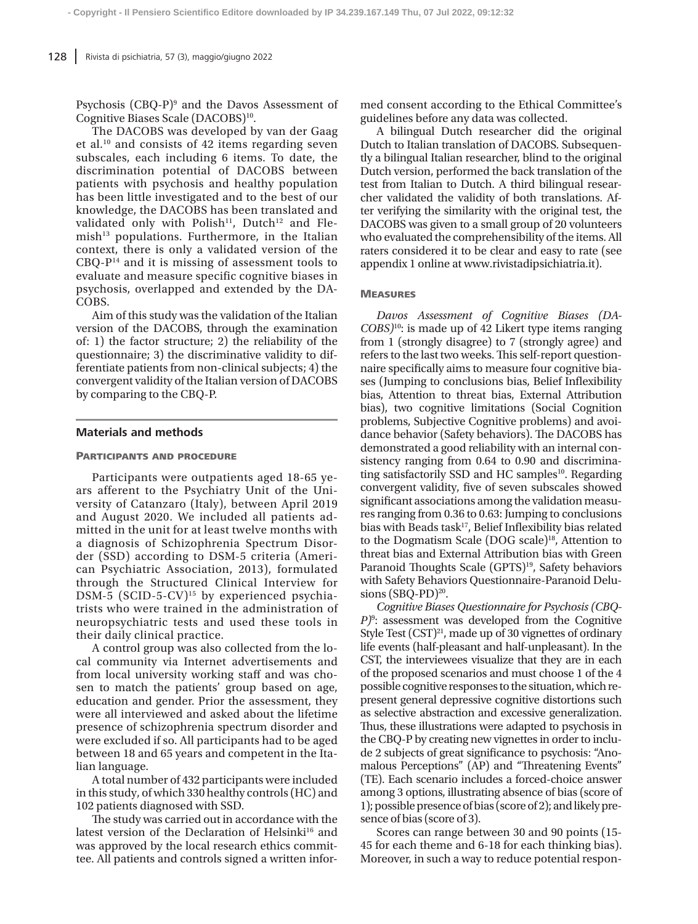Psychosis (CBQ-P)<sup>9</sup> and the Davos Assessment of Cognitive Biases Scale (DACOBS)<sup>10</sup>.

The DACOBS was developed by van der Gaag et al.10 and consists of 42 items regarding seven subscales, each including 6 items. To date, the discrimination potential of DACOBS between patients with psychosis and healthy population has been little investigated and to the best of our knowledge, the DACOBS has been translated and validated only with Polish<sup>11</sup>, Dutch<sup>12</sup> and Fle $mish<sup>13</sup>$  populations. Furthermore, in the Italian context, there is only a validated version of the  $CBQ-P<sup>14</sup>$  and it is missing of assessment tools to evaluate and measure specific cognitive biases in psychosis, overlapped and extended by the DA-COBS.

Aim of this study was the validation of the Italian version of the DACOBS, through the examination of: 1) the factor structure; 2) the reliability of the questionnaire; 3) the discriminative validity to differentiate patients from non-clinical subjects; 4) the convergent validity of the Italian version of DACOBS by comparing to the CBQ-P.

#### **Materials and methods**

#### Participants and procedure

Participants were outpatients aged 18-65 years afferent to the Psychiatry Unit of the University of Catanzaro (Italy), between April 2019 and August 2020. We included all patients admitted in the unit for at least twelve months with a diagnosis of Schizophrenia Spectrum Disorder (SSD) according to DSM-5 criteria (American Psychiatric Association, 2013), formulated through the Structured Clinical Interview for DSM-5 (SCID-5-CV)<sup>15</sup> by experienced psychiatrists who were trained in the administration of neuropsychiatric tests and used these tools in their daily clinical practice.

A control group was also collected from the local community via Internet advertisements and from local university working staff and was chosen to match the patients' group based on age, education and gender. Prior the assessment, they were all interviewed and asked about the lifetime presence of schizophrenia spectrum disorder and were excluded if so. All participants had to be aged between 18 and 65 years and competent in the Italian language.

A total number of 432 participants were included in this study, of which 330 healthy controls (HC) and 102 patients diagnosed with SSD.

The study was carried out in accordance with the latest version of the Declaration of Helsinki<sup>16</sup> and was approved by the local research ethics committee. All patients and controls signed a written informed consent according to the Ethical Committee's guidelines before any data was collected.

A bilingual Dutch researcher did the original Dutch to Italian translation of DACOBS. Subsequently a bilingual Italian researcher, blind to the original Dutch version, performed the back translation of the test from Italian to Dutch. A third bilingual researcher validated the validity of both translations. After verifying the similarity with the original test, the DACOBS was given to a small group of 20 volunteers who evaluated the comprehensibility of the items. All raters considered it to be clear and easy to rate (see appendix 1 online at www.rivistadipsichiatria.it).

#### **MEASURES**

*Davos Assessment of Cognitive Biases (DA-COBS)*10: is made up of 42 Likert type items ranging from 1 (strongly disagree) to 7 (strongly agree) and refers to the last two weeks. This self-report questionnaire specifically aims to measure four cognitive biases (Jumping to conclusions bias, Belief Inflexibility bias, Attention to threat bias, External Attribution bias), two cognitive limitations (Social Cognition problems, Subjective Cognitive problems) and avoidance behavior (Safety behaviors). The DACOBS has demonstrated a good reliability with an internal consistency ranging from 0.64 to 0.90 and discriminating satisfactorily SSD and HC samples<sup>10</sup>. Regarding convergent validity, five of seven subscales showed significant associations among the validation measures ranging from 0.36 to 0.63: Jumping to conclusions bias with Beads task<sup>17</sup>, Belief Inflexibility bias related to the Dogmatism Scale (DOG scale)<sup>18</sup>, Attention to threat bias and External Attribution bias with Green Paranoid Thoughts Scale (GPTS)<sup>19</sup>, Safety behaviors with Safety Behaviors Questionnaire-Paranoid Delusions  $(SBO-PD)^{20}$ .

*Cognitive Biases Questionnaire for Psychosis (CBQ-P)*<sup>9</sup> : assessment was developed from the Cognitive Style Test (CST)<sup>21</sup>, made up of 30 vignettes of ordinary life events (half-pleasant and half-unpleasant). In the CST, the interviewees visualize that they are in each of the proposed scenarios and must choose 1 of the 4 possible cognitive responses to the situation, which represent general depressive cognitive distortions such as selective abstraction and excessive generalization. Thus, these illustrations were adapted to psychosis in the CBQ-P by creating new vignettes in order to include 2 subjects of great significance to psychosis: "Anomalous Perceptions" (AP) and "Threatening Events" (TE). Each scenario includes a forced-choice answer among 3 options, illustrating absence of bias (score of 1); possible presence of bias (score of 2); and likely presence of bias (score of 3).

Scores can range between 30 and 90 points (15- 45 for each theme and 6-18 for each thinking bias). Moreover, in such a way to reduce potential respon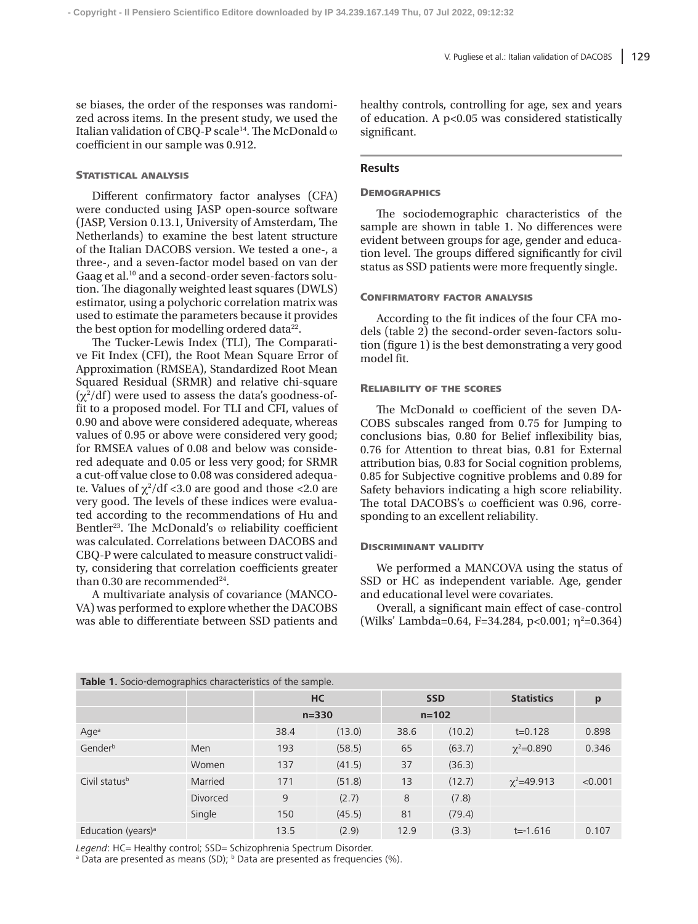se biases, the order of the responses was randomized across items. In the present study, we used the Italian validation of CBQ-P scale<sup>14</sup>. The McDonald ω coefficient in our sample was 0.912.

#### STATISTICAL ANALYSIS

Different confirmatory factor analyses (CFA) were conducted using JASP open-source software (JASP, Version 0.13.1, University of Amsterdam, The Netherlands) to examine the best latent structure of the Italian DACOBS version. We tested a one-, a three-, and a seven-factor model based on van der Gaag et al.<sup>10</sup> and a second-order seven-factors solution. The diagonally weighted least squares (DWLS) estimator, using a polychoric correlation matrix was used to estimate the parameters because it provides the best option for modelling ordered data<sup>22</sup>.

The Tucker-Lewis Index (TLI), The Comparative Fit Index (CFI), the Root Mean Square Error of Approximation (RMSEA), Standardized Root Mean Squared Residual (SRMR) and relative chi-square  $(\chi^2/df)$  were used to assess the data's goodness-offit to a proposed model. For TLI and CFI, values of 0.90 and above were considered adequate, whereas values of 0.95 or above were considered very good; for RMSEA values of 0.08 and below was considered adequate and 0.05 or less very good; for SRMR a cut-off value close to 0.08 was considered adequate. Values of  $\chi^2/df$  <3.0 are good and those <2.0 are very good. The levels of these indices were evaluated according to the recommendations of Hu and Bentler<sup>23</sup>. The McDonald's  $\omega$  reliability coefficient was calculated. Correlations between DACOBS and CBQ-P were calculated to measure construct validity, considering that correlation coefficients greater than 0.30 are recommended<sup>24</sup>.

A multivariate analysis of covariance (MANCO-VA) was performed to explore whether the DACOBS was able to differentiate between SSD patients and

healthy controls, controlling for age, sex and years of education. A p<0.05 was considered statistically significant.

#### **Results**

## **DEMOGRAPHICS**

The sociodemographic characteristics of the sample are shown in table 1. No differences were evident between groups for age, gender and education level. The groups differed significantly for civil status as SSD patients were more frequently single.

#### Confirmatory factor analysis

According to the fit indices of the four CFA models (table 2) the second-order seven-factors solution (figure 1) is the best demonstrating a very good model fit.

#### Reliability of the scores

The McDonald ω coefficient of the seven DA-COBS subscales ranged from 0.75 for Jumping to conclusions bias, 0.80 for Belief inflexibility bias, 0.76 for Attention to threat bias, 0.81 for External attribution bias, 0.83 for Social cognition problems, 0.85 for Subjective cognitive problems and 0.89 for Safety behaviors indicating a high score reliability. The total DACOBS's ω coefficient was 0.96, corresponding to an excellent reliability.

# Discriminant validity

We performed a MANCOVA using the status of SSD or HC as independent variable. Age, gender and educational level were covariates.

Overall, a significant main effect of case-control (Wilks' Lambda=0.64, F=34.284, p<0.001;  $\eta^2$ =0.364)

| <b>Table 1.</b> Socio-demographics characteristics of the sample. |                 |           |        |            |        |                   |         |  |  |  |
|-------------------------------------------------------------------|-----------------|-----------|--------|------------|--------|-------------------|---------|--|--|--|
|                                                                   |                 | HC        |        | <b>SSD</b> |        | <b>Statistics</b> | p       |  |  |  |
|                                                                   |                 | $n = 330$ |        | $n = 102$  |        |                   |         |  |  |  |
| Age <sup>a</sup>                                                  |                 | 38.4      | (13.0) | 38.6       | (10.2) | $t = 0.128$       | 0.898   |  |  |  |
| Gender <sup>b</sup>                                               | Men             | 193       | (58.5) | 65         | (63.7) | $\chi^2 = 0.890$  | 0.346   |  |  |  |
|                                                                   | Women           | 137       | (41.5) | 37         | (36.3) |                   |         |  |  |  |
| Civil status <sup>b</sup>                                         | Married         | 171       | (51.8) | 13         | (12.7) | $\chi^2$ =49.913  | < 0.001 |  |  |  |
|                                                                   | <b>Divorced</b> | 9         | (2.7)  | 8          | (7.8)  |                   |         |  |  |  |
|                                                                   | Single          | 150       | (45.5) | 81         | (79.4) |                   |         |  |  |  |
| Education (years) <sup>a</sup>                                    |                 | 13.5      | (2.9)  | 12.9       | (3.3)  | $t = -1.616$      | 0.107   |  |  |  |

**Table 1.** Socio-demographics characteristics of the sample.

Legend: HC= Healthy control; SSD= Schizophrenia Spectrum Disorder.

<sup>a</sup> Data are presented as means (SD); <sup>b</sup> Data are presented as frequencies (%).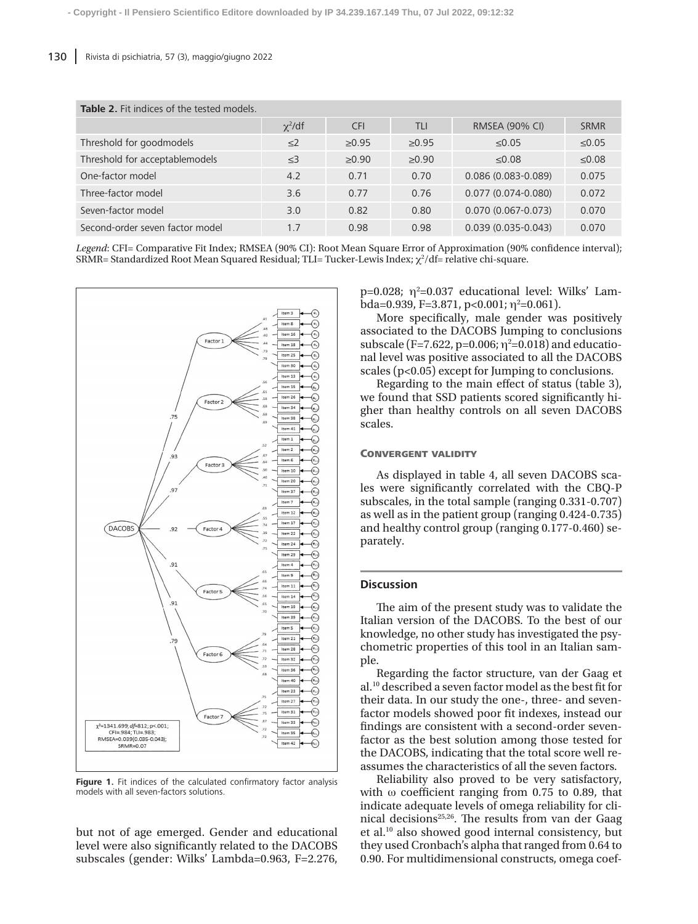| <b>Table 2.</b> Fit indices of the tested models. |              |            |            |                        |             |  |  |  |  |
|---------------------------------------------------|--------------|------------|------------|------------------------|-------------|--|--|--|--|
|                                                   | $\chi^2$ /df | <b>CFI</b> | <b>TLI</b> | <b>RMSEA (90% CI)</b>  | <b>SRMR</b> |  |  |  |  |
| Threshold for goodmodels                          | $\leq$ 2     | >0.95      | >0.95      | ≤0.05                  | $\leq 0.05$ |  |  |  |  |
| Threshold for acceptablemodels                    | $<$ 3        | >0.90      | >0.90      | < 0.08                 | $≤0.08$     |  |  |  |  |
| One-factor model                                  | 4.2          | 0.71       | 0.70       | $0.086(0.083 - 0.089)$ | 0.075       |  |  |  |  |
| Three-factor model                                | 3.6          | 0.77       | 0.76       | $0.077(0.074 - 0.080)$ | 0.072       |  |  |  |  |
| Seven-factor model                                | 3.0          | 0.82       | 0.80       | $0.070(0.067 - 0.073)$ | 0.070       |  |  |  |  |
| Second-order seven factor model                   | 1.7          | 0.98       | 0.98       | $0.039(0.035 - 0.043)$ | 0.070       |  |  |  |  |

*Legend*: CFI= Comparative Fit Index; RMSEA (90% CI): Root Mean Square Error of Approximation (90% confidence interval); SRMR= Standardized Root Mean Squared Residual; TLI= Tucker-Lewis Index;  $\chi^2/\text{df}$ = relative chi-square.



Figure 1. Fit indices of the calculated confirmatory factor analysis models with all seven-factors solutions.

but not of age emerged. Gender and educational level were also significantly related to the DACOBS subscales (gender: Wilks' Lambda=0.963, F=2.276, p=0.028;  $\eta^2$ =0.037 educational level: Wilks' Lambda=0.939, F=3.871, p<0.001;  $\eta^2$ =0.061).

More specifically, male gender was positively associated to the DACOBS Jumping to conclusions subscale (F=7.622, p=0.006;  $\eta^2$ =0.018) and educational level was positive associated to all the DACOBS scales (p<0.05) except for Jumping to conclusions.

Regarding to the main effect of status (table 3), we found that SSD patients scored significantly higher than healthy controls on all seven DACOBS scales.

#### Convergent validity

As displayed in table 4, all seven DACOBS scales were significantly correlated with the CBQ-P subscales, in the total sample (ranging 0.331-0.707) as well as in the patient group (ranging 0.424-0.735) and healthy control group (ranging 0.177-0.460) separately.

### **Discussion**

The aim of the present study was to validate the Italian version of the DACOBS. To the best of our knowledge, no other study has investigated the psychometric properties of this tool in an Italian sample.

Regarding the factor structure, van der Gaag et al.10 described a seven factor model as the best fit for their data. In our study the one-, three- and sevenfactor models showed poor fit indexes, instead our findings are consistent with a second-order sevenfactor as the best solution among those tested for the DACOBS, indicating that the total score well reassumes the characteristics of all the seven factors.

Reliability also proved to be very satisfactory, with  $\omega$  coefficient ranging from 0.75 to 0.89, that indicate adequate levels of omega reliability for clinical decisions<sup>25,26</sup>. The results from van der Gaag et al.10 also showed good internal consistency, but they used Cronbach's alpha that ranged from 0.64 to 0.90. For multidimensional constructs, omega coef-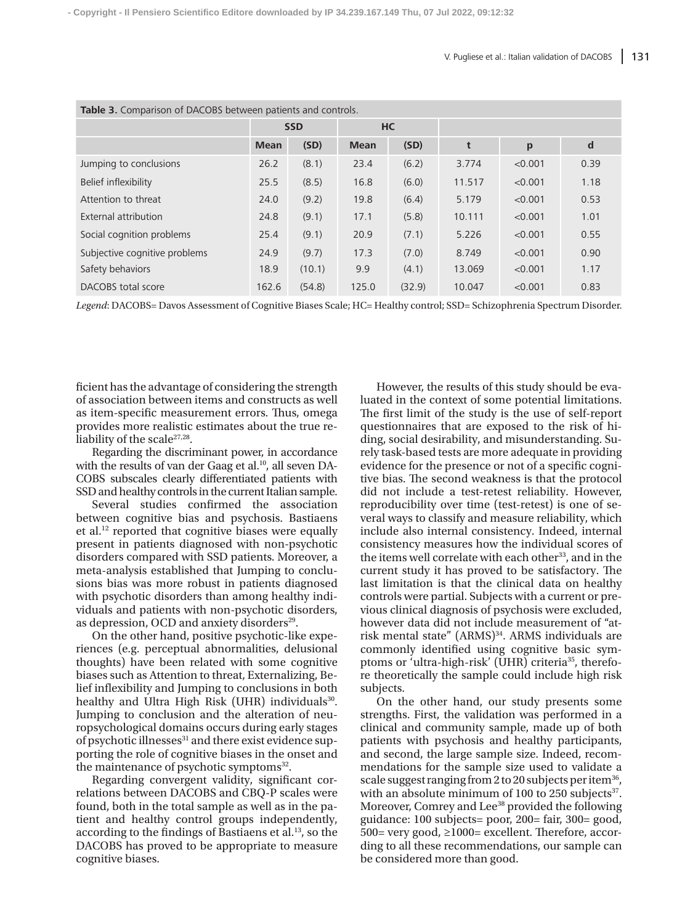| <b>Table 3.</b> Comparison of DACOBS between patients and controls. |             |        |             |           |        |         |      |  |  |
|---------------------------------------------------------------------|-------------|--------|-------------|-----------|--------|---------|------|--|--|
|                                                                     | <b>SSD</b>  |        |             | <b>HC</b> |        |         |      |  |  |
|                                                                     | <b>Mean</b> | (SD)   | <b>Mean</b> | (SD)      | t      | p       | d    |  |  |
| Jumping to conclusions                                              | 26.2        | (8.1)  | 23.4        | (6.2)     | 3.774  | < 0.001 | 0.39 |  |  |
| Belief inflexibility                                                | 25.5        | (8.5)  | 16.8        | (6.0)     | 11.517 | < 0.001 | 1.18 |  |  |
| Attention to threat                                                 | 24.0        | (9.2)  | 19.8        | (6.4)     | 5.179  | < 0.001 | 0.53 |  |  |
| External attribution                                                | 24.8        | (9.1)  | 17.1        | (5.8)     | 10.111 | < 0.001 | 1.01 |  |  |
| Social cognition problems                                           | 25.4        | (9.1)  | 20.9        | (7.1)     | 5.226  | < 0.001 | 0.55 |  |  |
| Subjective cognitive problems                                       | 24.9        | (9.7)  | 17.3        | (7.0)     | 8.749  | < 0.001 | 0.90 |  |  |
| Safety behaviors                                                    | 18.9        | (10.1) | 9.9         | (4.1)     | 13.069 | < 0.001 | 1.17 |  |  |
| DACOBS total score                                                  | 162.6       | (54.8) | 125.0       | (32.9)    | 10.047 | < 0.001 | 0.83 |  |  |

*Legend*: DACOBS= Davos Assessment of Cognitive Biases Scale; HC= Healthy control; SSD= Schizophrenia Spectrum Disorder.

ficient has the advantage of considering the strength of association between items and constructs as well as item-specific measurement errors. Thus, omega provides more realistic estimates about the true reliability of the scale<sup>27,28</sup>.

Regarding the discriminant power, in accordance with the results of van der Gaag et al.<sup>10</sup>, all seven DA-COBS subscales clearly differentiated patients with SSD and healthy controls in the current Italian sample.

Several studies confirmed the association between cognitive bias and psychosis. Bastiaens et al.12 reported that cognitive biases were equally present in patients diagnosed with non-psychotic disorders compared with SSD patients. Moreover, a meta-analysis established that Jumping to conclusions bias was more robust in patients diagnosed with psychotic disorders than among healthy individuals and patients with non-psychotic disorders, as depression, OCD and anxiety disorders<sup>29</sup>.

On the other hand, positive psychotic-like experiences (e.g. perceptual abnormalities, delusional thoughts) have been related with some cognitive biases such as Attention to threat, Externalizing, Belief inflexibility and Jumping to conclusions in both healthy and Ultra High Risk (UHR) individuals<sup>30</sup>. Jumping to conclusion and the alteration of neuropsychological domains occurs during early stages of psychotic illnesses<sup>31</sup> and there exist evidence supporting the role of cognitive biases in the onset and the maintenance of psychotic symptoms $32$ .

Regarding convergent validity, significant correlations between DACOBS and CBQ-P scales were found, both in the total sample as well as in the patient and healthy control groups independently, according to the findings of Bastiaens et al.<sup>13</sup>, so the DACOBS has proved to be appropriate to measure cognitive biases.

However, the results of this study should be evaluated in the context of some potential limitations. The first limit of the study is the use of self-report questionnaires that are exposed to the risk of hiding, social desirability, and misunderstanding. Surely task-based tests are more adequate in providing evidence for the presence or not of a specific cognitive bias. The second weakness is that the protocol did not include a test-retest reliability. However, reproducibility over time (test-retest) is one of several ways to classify and measure reliability, which include also internal consistency. Indeed, internal consistency measures how the individual scores of the items well correlate with each other<sup>33</sup>, and in the current study it has proved to be satisfactory. The last limitation is that the clinical data on healthy controls were partial. Subjects with a current or previous clinical diagnosis of psychosis were excluded, however data did not include measurement of "atrisk mental state" (ARMS)<sup>34</sup>. ARMS individuals are commonly identified using cognitive basic symptoms or 'ultra-high-risk' (UHR) criteria<sup>35</sup>, therefore theoretically the sample could include high risk subjects.

On the other hand, our study presents some strengths. First, the validation was performed in a clinical and community sample, made up of both patients with psychosis and healthy participants, and second, the large sample size. Indeed, recommendations for the sample size used to validate a scale suggest ranging from 2 to 20 subjects per item<sup>36</sup>, with an absolute minimum of 100 to 250 subjects $37$ . Moreover, Comrey and Lee<sup>38</sup> provided the following guidance: 100 subjects= poor, 200= fair, 300= good, 500= very good, ≥1000= excellent. Therefore, according to all these recommendations, our sample can be considered more than good.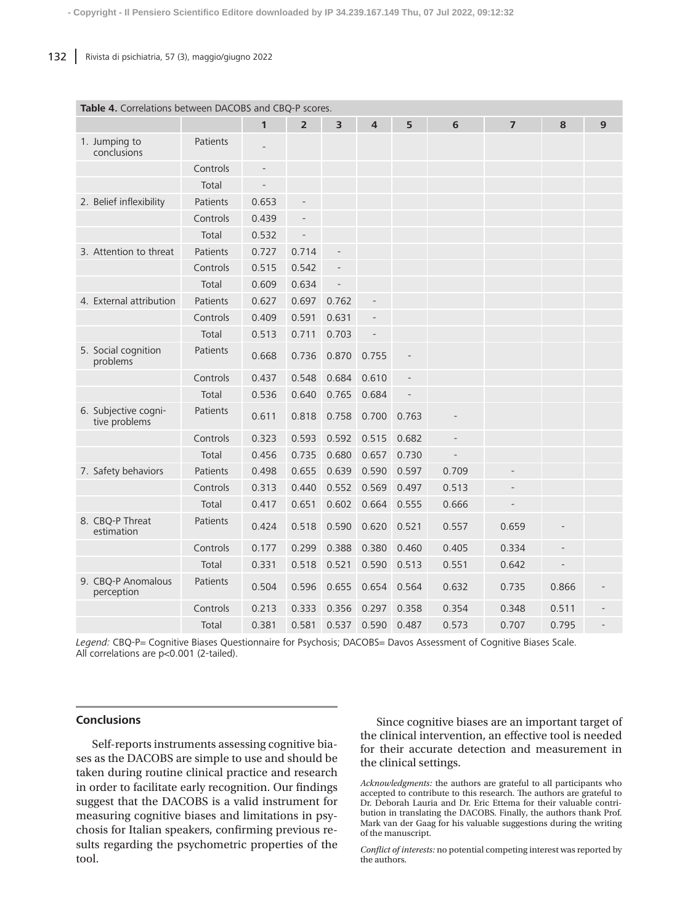| <b>Table 4.</b> Correlations between DACOBS and CBQ-P scores. |          |                          |                          |                |                |       |       |                |       |   |
|---------------------------------------------------------------|----------|--------------------------|--------------------------|----------------|----------------|-------|-------|----------------|-------|---|
|                                                               |          | $\mathbf{1}$             | $\overline{\mathbf{2}}$  | 3              | $\overline{4}$ | 5     | 6     | $\overline{7}$ | 8     | 9 |
| 1. Jumping to<br>conclusions                                  | Patients |                          |                          |                |                |       |       |                |       |   |
|                                                               | Controls | $\overline{\phantom{a}}$ |                          |                |                |       |       |                |       |   |
|                                                               | Total    |                          |                          |                |                |       |       |                |       |   |
| 2. Belief inflexibility                                       | Patients | 0.653                    | $\overline{\phantom{0}}$ |                |                |       |       |                |       |   |
|                                                               | Controls | 0.439                    | $\overline{\phantom{a}}$ |                |                |       |       |                |       |   |
|                                                               | Total    | 0.532                    | $\overline{a}$           |                |                |       |       |                |       |   |
| 3. Attention to threat                                        | Patients | 0.727                    | 0.714                    | $\overline{a}$ |                |       |       |                |       |   |
|                                                               | Controls | 0.515                    | 0.542                    |                |                |       |       |                |       |   |
|                                                               | Total    | 0.609                    | 0.634                    |                |                |       |       |                |       |   |
| 4. External attribution                                       | Patients | 0.627                    | 0.697                    | 0.762          |                |       |       |                |       |   |
|                                                               | Controls | 0.409                    | 0.591                    | 0.631          |                |       |       |                |       |   |
|                                                               | Total    | 0.513                    | 0.711                    | 0.703          |                |       |       |                |       |   |
| 5. Social cognition<br>problems                               | Patients | 0.668                    | 0.736                    | 0.870          | 0.755          |       |       |                |       |   |
|                                                               | Controls | 0.437                    | 0.548                    | 0.684          | 0.610          |       |       |                |       |   |
|                                                               | Total    | 0.536                    | 0.640                    | 0.765          | 0.684          |       |       |                |       |   |
| 6. Subjective cogni-<br>tive problems                         | Patients | 0.611                    | 0.818                    | 0.758          | 0.700          | 0.763 |       |                |       |   |
|                                                               | Controls | 0.323                    | 0.593                    | 0.592          | 0.515          | 0.682 |       |                |       |   |
|                                                               | Total    | 0.456                    | 0.735                    | 0.680          | 0.657          | 0.730 |       |                |       |   |
| 7. Safety behaviors                                           | Patients | 0.498                    | 0.655                    | 0.639          | 0.590          | 0.597 | 0.709 |                |       |   |
|                                                               | Controls | 0.313                    | 0.440                    | 0.552          | 0.569          | 0.497 | 0.513 |                |       |   |
|                                                               | Total    | 0.417                    | 0.651                    | 0.602          | 0.664          | 0.555 | 0.666 |                |       |   |
| 8. CBQ-P Threat<br>estimation                                 | Patients | 0.424                    | 0.518                    | 0.590          | 0.620          | 0.521 | 0.557 | 0.659          |       |   |
|                                                               | Controls | 0.177                    | 0.299                    | 0.388          | 0.380          | 0.460 | 0.405 | 0.334          |       |   |
|                                                               | Total    | 0.331                    | 0.518                    | 0.521          | 0.590          | 0.513 | 0.551 | 0.642          |       |   |
| 9. CBQ-P Anomalous<br>perception                              | Patients | 0.504                    | 0.596                    | 0.655          | 0.654          | 0.564 | 0.632 | 0.735          | 0.866 |   |
|                                                               | Controls | 0.213                    | 0.333                    | 0.356          | 0.297          | 0.358 | 0.354 | 0.348          | 0.511 |   |
|                                                               | Total    | 0.381                    | 0.581                    | 0.537          | 0.590          | 0.487 | 0.573 | 0.707          | 0.795 |   |

# **Table 4.** Correlations between DACOBS and CBQ-P

*Legend:* CBQ-P= Cognitive Biases Questionnaire for Psychosis; DACOBS= Davos Assessment of Cognitive Biases Scale. All correlations are p<0.001 (2-tailed).

# **Conclusions**

Self-reports instruments assessing cognitive biases as the DACOBS are simple to use and should be taken during routine clinical practice and research in order to facilitate early recognition. Our findings suggest that the DACOBS is a valid instrument for measuring cognitive biases and limitations in psychosis for Italian speakers, confirming previous results regarding the psychometric properties of the tool.

Since cognitive biases are an important target of the clinical intervention, an effective tool is needed for their accurate detection and measurement in the clinical settings.

*Acknowledgments:* the authors are grateful to all participants who accepted to contribute to this research. The authors are grateful to Dr. Deborah Lauria and Dr. Eric Ettema for their valuable contribution in translating the DACOBS. Finally, the authors thank Prof. Mark van der Gaag for his valuable suggestions during the writing of the manuscript.

*Conflict of interests:* no potential competing interest was reported by the authors.